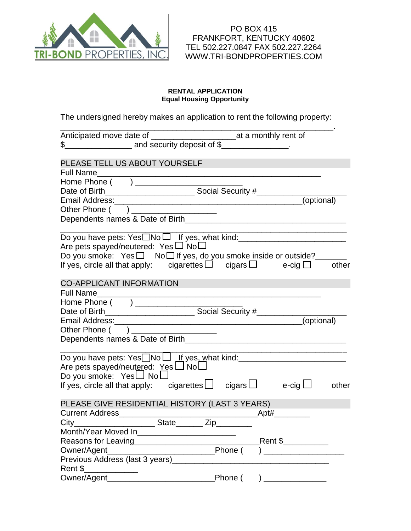

#### **RENTAL APPLICATION Equal Housing Opportunity**

The undersigned hereby makes an application to rent the following property:

| $\frac{1}{2}$ and security deposit of $\frac{1}{2}$ and security deposit of $\frac{1}{2}$ and security deposit of $\frac{1}{2}$                                                                                                |            |
|--------------------------------------------------------------------------------------------------------------------------------------------------------------------------------------------------------------------------------|------------|
| PLEASE TELL US ABOUT YOURSELF                                                                                                                                                                                                  |            |
| <b>Full Name</b>                                                                                                                                                                                                               |            |
| <u> 2002 - Jan James James James James James James James James James James James James James James James James J</u>                                                                                                           |            |
|                                                                                                                                                                                                                                |            |
|                                                                                                                                                                                                                                |            |
| Other Phone ( ) _____________________                                                                                                                                                                                          |            |
|                                                                                                                                                                                                                                |            |
|                                                                                                                                                                                                                                |            |
| Do you have pets: $Yes \Box No \Box$ If yes, what kind: ___________________________________                                                                                                                                    |            |
| Are pets spayed/neutered: Yes $\square$ No $\square$                                                                                                                                                                           |            |
| Do you smoke: $Yes \Box$ No $\Box$ If yes, do you smoke inside or outside?                                                                                                                                                     |            |
| If yes, circle all that apply: cigarettes $\Box$ cigars $\Box$ e-cig $\Box$                                                                                                                                                    | other      |
|                                                                                                                                                                                                                                |            |
| <b>CO-APPLICANT INFORMATION</b>                                                                                                                                                                                                |            |
| <b>Full Name</b>                                                                                                                                                                                                               |            |
| Home Phone ( ) _____________________                                                                                                                                                                                           |            |
|                                                                                                                                                                                                                                |            |
| Email Address: Management of the Address of The Address of The Address of The Address of The Address of The Address of The Address of The Address of The Address of The Address of The Address of The Address of The Address o | (optional) |
| Other Phone ( ) ____________________                                                                                                                                                                                           |            |
|                                                                                                                                                                                                                                |            |
|                                                                                                                                                                                                                                |            |
| Do you have pets: $Yes \Box No \Box$ If yes, what kind: __________________________________<br>Are pets spayed/neutered: Yes LJ No                                                                                              |            |
| Do you smoke: $Yes \Box No \Box$                                                                                                                                                                                               |            |
| If yes, circle all that apply: cigarettes $\Box$ cigars $\Box$ e-cig $\Box$                                                                                                                                                    | other      |
|                                                                                                                                                                                                                                |            |
| PLEASE GIVE RESIDENTIAL HISTORY (LAST 3 YEARS)                                                                                                                                                                                 |            |
| <b>Current Address</b>                                                                                                                                                                                                         | Apt#       |
| __ State______ Zip_<br>City                                                                                                                                                                                                    |            |
| Month/Year Moved In___________________________                                                                                                                                                                                 |            |
| Reasons for Leaving__________________________                                                                                                                                                                                  | Rent \$    |
| Owner/Agent                                                                                                                                                                                                                    |            |
| Previous Address (last 3 years)_                                                                                                                                                                                               |            |
| Rent \$                                                                                                                                                                                                                        |            |
| Owner/Agent_                                                                                                                                                                                                                   | Phone (    |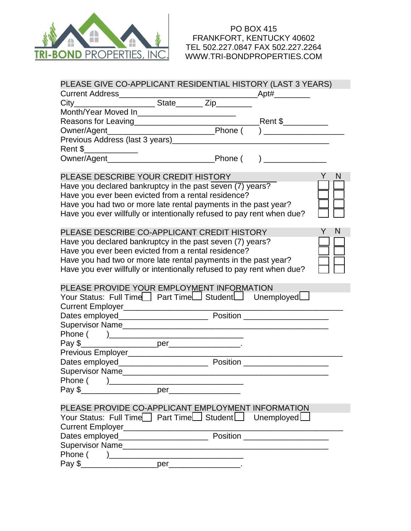

|                                                                        |     | PLEASE GIVE CO-APPLICANT RESIDENTIAL HISTORY (LAST 3 YEARS) |        |
|------------------------------------------------------------------------|-----|-------------------------------------------------------------|--------|
|                                                                        |     |                                                             |        |
|                                                                        |     |                                                             |        |
| Month/Year Moved In_________________________                           |     |                                                             |        |
|                                                                        |     |                                                             |        |
|                                                                        |     |                                                             |        |
|                                                                        |     |                                                             |        |
| Rent \$                                                                |     |                                                             |        |
|                                                                        |     |                                                             |        |
|                                                                        |     |                                                             |        |
| PLEASE DESCRIBE YOUR CREDIT HISTORY                                    |     |                                                             | Y<br>N |
| Have you declared bankruptcy in the past seven (7) years?              |     |                                                             |        |
| Have you ever been evicted from a rental residence?                    |     |                                                             |        |
| Have you had two or more late rental payments in the past year?        |     |                                                             |        |
| Have you ever willfully or intentionally refused to pay rent when due? |     |                                                             |        |
|                                                                        |     |                                                             |        |
| PLEASE DESCRIBE CO-APPLICANT CREDIT HISTORY                            |     |                                                             | N      |
| Have you declared bankruptcy in the past seven (7) years?              |     |                                                             |        |
| Have you ever been evicted from a rental residence?                    |     |                                                             |        |
| Have you had two or more late rental payments in the past year?        |     |                                                             |        |
| Have you ever willfully or intentionally refused to pay rent when due? |     |                                                             |        |
|                                                                        |     |                                                             |        |
|                                                                        |     |                                                             |        |
| PLEASE PROVIDE YOUR EMPLOYMENT INFORMATION                             |     |                                                             |        |
| Your Status: Full Time Part Time Student J Unemployed                  |     |                                                             |        |
|                                                                        |     |                                                             |        |
|                                                                        |     |                                                             |        |
|                                                                        |     |                                                             |        |
|                                                                        |     |                                                             |        |
|                                                                        |     |                                                             |        |
|                                                                        |     |                                                             |        |
|                                                                        |     |                                                             |        |
| Supervisor Name                                                        |     |                                                             |        |
| Phone $($ $)$ ___                                                      |     |                                                             |        |
| Pay \$                                                                 |     |                                                             |        |
|                                                                        |     |                                                             |        |
| PLEASE PROVIDE CO-APPLICANT EMPLOYMENT INFORMATION                     |     |                                                             |        |
| Your Status: Full Time Part Time Student                               |     | Unemploved                                                  |        |
|                                                                        |     |                                                             |        |
|                                                                        |     |                                                             |        |
|                                                                        |     |                                                             |        |
| Phone (<br>$\lambda$<br>Pay \$                                         | per |                                                             |        |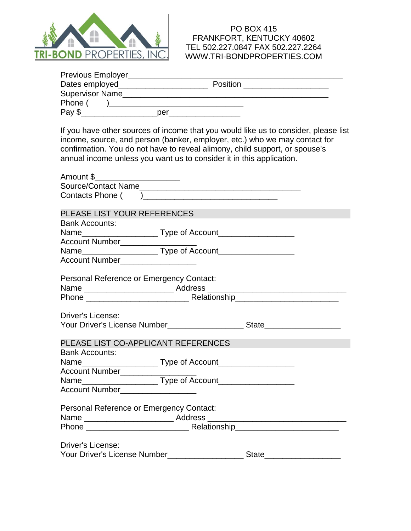

| If you have other sources of income that you would like us to consider, please list<br>income, source, and person (banker, employer, etc.) who we may contact for<br>confirmation. You do not have to reveal alimony, child support, or spouse's<br>annual income unless you want us to consider it in this application. |               |
|--------------------------------------------------------------------------------------------------------------------------------------------------------------------------------------------------------------------------------------------------------------------------------------------------------------------------|---------------|
| Amount \$______________________                                                                                                                                                                                                                                                                                          |               |
|                                                                                                                                                                                                                                                                                                                          |               |
|                                                                                                                                                                                                                                                                                                                          |               |
|                                                                                                                                                                                                                                                                                                                          |               |
| PLEASE LIST YOUR REFERENCES                                                                                                                                                                                                                                                                                              |               |
| <b>Bank Accounts:</b>                                                                                                                                                                                                                                                                                                    |               |
|                                                                                                                                                                                                                                                                                                                          |               |
| Account Number___________________                                                                                                                                                                                                                                                                                        |               |
|                                                                                                                                                                                                                                                                                                                          |               |
| Account Number _______________                                                                                                                                                                                                                                                                                           |               |
| Personal Reference or Emergency Contact:                                                                                                                                                                                                                                                                                 |               |
|                                                                                                                                                                                                                                                                                                                          |               |
|                                                                                                                                                                                                                                                                                                                          |               |
|                                                                                                                                                                                                                                                                                                                          |               |
| <b>Driver's License:</b>                                                                                                                                                                                                                                                                                                 |               |
|                                                                                                                                                                                                                                                                                                                          |               |
|                                                                                                                                                                                                                                                                                                                          |               |
| PLEASE LIST CO-APPLICANT REFERENCES                                                                                                                                                                                                                                                                                      |               |
| <b>Bank Accounts:</b>                                                                                                                                                                                                                                                                                                    |               |
|                                                                                                                                                                                                                                                                                                                          |               |
| Account Number_______                                                                                                                                                                                                                                                                                                    |               |
|                                                                                                                                                                                                                                                                                                                          |               |
| Account Number___________________                                                                                                                                                                                                                                                                                        |               |
| Personal Reference or Emergency Contact:                                                                                                                                                                                                                                                                                 |               |
|                                                                                                                                                                                                                                                                                                                          |               |
|                                                                                                                                                                                                                                                                                                                          |               |
| <b>Driver's License:</b>                                                                                                                                                                                                                                                                                                 |               |
| Your Driver's License Number______________                                                                                                                                                                                                                                                                               | State________ |
|                                                                                                                                                                                                                                                                                                                          |               |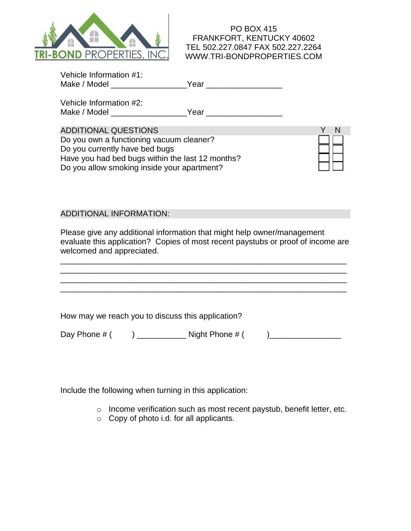

| Vehicle Information #1: |      |  |
|-------------------------|------|--|
| Make / Model            | Year |  |

Vehicle Information #2: Make / Model example of the Year  $Year$ 

ADDITIONAL QUESTIONS Do you own a functioning vacuum cleaner? Do you currently have bed bugs Have you had bed bugs within the last 12 months? Do you allow smoking inside your apartment?

# ADDITIONAL INFORMATION:

Please give any additional information that might help owner/management evaluate this application? Copies of most recent paystubs or proof of income are welcomed and appreciated.

\_\_\_\_\_\_\_\_\_\_\_\_\_\_\_\_\_\_\_\_\_\_\_\_\_\_\_\_\_\_\_\_\_\_\_\_\_\_\_\_\_\_\_\_\_\_\_\_\_\_\_\_\_\_\_\_\_\_\_\_\_\_\_\_ \_\_\_\_\_\_\_\_\_\_\_\_\_\_\_\_\_\_\_\_\_\_\_\_\_\_\_\_\_\_\_\_\_\_\_\_\_\_\_\_\_\_\_\_\_\_\_\_\_\_\_\_\_\_\_\_\_\_\_\_\_\_\_\_ \_\_\_\_\_\_\_\_\_\_\_\_\_\_\_\_\_\_\_\_\_\_\_\_\_\_\_\_\_\_\_\_\_\_\_\_\_\_\_\_\_\_\_\_\_\_\_\_\_\_\_\_\_\_\_\_\_\_\_\_\_\_\_\_

How may we reach you to discuss this application?

Day Phone # ( ) \_\_\_\_\_\_\_\_\_\_\_ Night Phone # ( )\_\_\_\_\_\_\_\_\_\_\_\_\_\_\_\_

Include the following when turning in this application:

- o Income verification such as most recent paystub, benefit letter, etc.
- o Copy of photo i.d. for all applicants.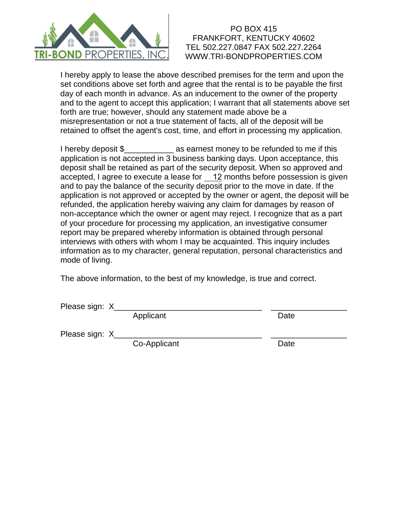

I hereby apply to lease the above described premises for the term and upon the set conditions above set forth and agree that the rental is to be payable the first day of each month in advance. As an inducement to the owner of the property and to the agent to accept this application; I warrant that all statements above set forth are true; however, should any statement made above be a misrepresentation or not a true statement of facts, all of the deposit will be retained to offset the agent's cost, time, and effort in processing my application.

I hereby deposit \$ as earnest money to be refunded to me if this application is not accepted in 3 business banking days. Upon acceptance, this deposit shall be retained as part of the security deposit. When so approved and accepted, I agree to execute a lease for 12 months before possession is given and to pay the balance of the security deposit prior to the move in date. If the application is not approved or accepted by the owner or agent, the deposit will be refunded, the application hereby waiving any claim for damages by reason of non-acceptance which the owner or agent may reject. I recognize that as a part of your procedure for processing my application, an investigative consumer report may be prepared whereby information is obtained through personal interviews with others with whom I may be acquainted. This inquiry includes information as to my character, general reputation, personal characteristics and mode of living.

The above information, to the best of my knowledge, is true and correct.

Please sign: X

Applicant Date

Please sign: X\_

Co-Applicant Date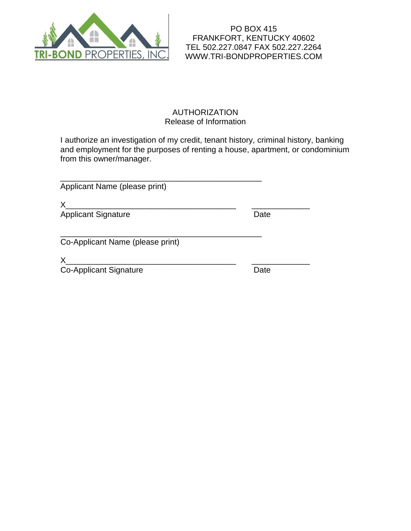

### AUTHORIZATION Release of Information

I authorize an investigation of my credit, tenant history, criminal history, banking and employment for the purposes of renting a house, apartment, or condominium from this owner/manager.

| Applicant Name (please print)    |      |
|----------------------------------|------|
| X<br><b>Applicant Signature</b>  | Date |
| Co-Applicant Name (please print) |      |
| <b>Co-Applicant Signature</b>    | Date |